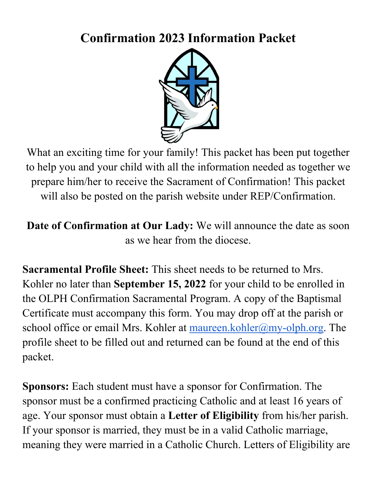## **Confirmation 2023 Information Packet**



What an exciting time for your family! This packet has been put together to help you and your child with all the information needed as together we prepare him/her to receive the Sacrament of Confirmation! This packet will also be posted on the parish website under REP/Confirmation.

**Date of Confirmation at Our Lady:** We will announce the date as soon as we hear from the diocese.

**Sacramental Profile Sheet:** This sheet needs to be returned to Mrs. Kohler no later than **September 15, 2022** for your child to be enrolled in the OLPH Confirmation Sacramental Program. A copy of the Baptismal Certificate must accompany this form. You may drop off at the parish or school office or email Mrs. Kohler at maureen.kohler@my-olph.org. The profile sheet to be filled out and returned can be found at the end of this packet.

**Sponsors:** Each student must have a sponsor for Confirmation. The sponsor must be a confirmed practicing Catholic and at least 16 years of age. Your sponsor must obtain a **Letter of Eligibility** from his/her parish. If your sponsor is married, they must be in a valid Catholic marriage, meaning they were married in a Catholic Church. Letters of Eligibility are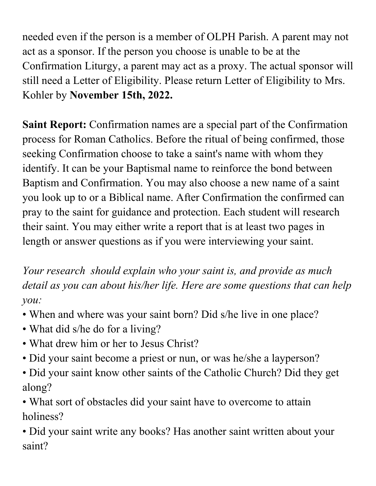needed even if the person is a member of OLPH Parish. A parent may not act as a sponsor. If the person you choose is unable to be at the Confirmation Liturgy, a parent may act as a proxy. The actual sponsor will still need a Letter of Eligibility. Please return Letter of Eligibility to Mrs. Kohler by **November 15th, 2022.**

**Saint Report:** Confirmation names are a special part of the Confirmation process for Roman Catholics. Before the ritual of being confirmed, those seeking Confirmation choose to take a saint's name with whom they identify. It can be your Baptismal name to reinforce the bond between Baptism and Confirmation. You may also choose a new name of a saint you look up to or a Biblical name. After Confirmation the confirmed can pray to the saint for guidance and protection. Each student will research their saint. You may either write a report that is at least two pages in length or answer questions as if you were interviewing your saint.

*Your research should explain who your saint is, and provide as much detail as you can about his/her life. Here are some questions that can help you:* 

- When and where was your saint born? Did s/he live in one place?
- What did s/he do for a living?
- What drew him or her to Jesus Christ?
- Did your saint become a priest or nun, or was he/she a layperson?
- Did your saint know other saints of the Catholic Church? Did they get along?

• What sort of obstacles did your saint have to overcome to attain holiness?

• Did your saint write any books? Has another saint written about your saint?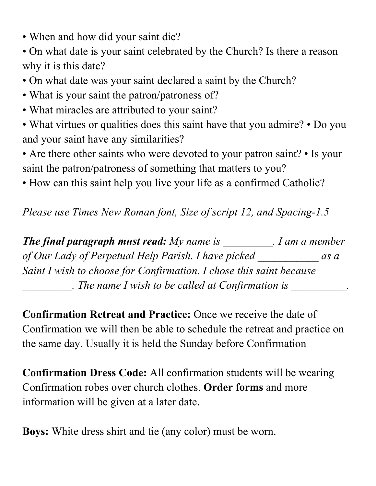- When and how did your saint die?
- On what date is your saint celebrated by the Church? Is there a reason why it is this date?
- On what date was your saint declared a saint by the Church?
- What is your saint the patron/patroness of?
- What miracles are attributed to your saint?
- What virtues or qualities does this saint have that you admire? Do you and your saint have any similarities?
- Are there other saints who were devoted to your patron saint? Is your saint the patron/patroness of something that matters to you?
- How can this saint help you live your life as a confirmed Catholic?

*Please use Times New Roman font, Size of script 12, and Spacing-1.5* 

*The final paragraph must read: My name is \_\_\_\_\_\_\_\_\_. I am a member of Our Lady of Perpetual Help Parish. I have picked \_\_\_\_\_\_\_\_\_\_\_ as a Saint I wish to choose for Confirmation. I chose this saint because \_\_\_\_\_\_\_\_\_. The name I wish to be called at Confirmation is \_\_\_\_\_\_\_\_\_\_.*

**Confirmation Retreat and Practice:** Once we receive the date of Confirmation we will then be able to schedule the retreat and practice on the same day. Usually it is held the Sunday before Confirmation

**Confirmation Dress Code:** All confirmation students will be wearing Confirmation robes over church clothes. **Order forms** and more information will be given at a later date.

**Boys:** White dress shirt and tie (any color) must be worn.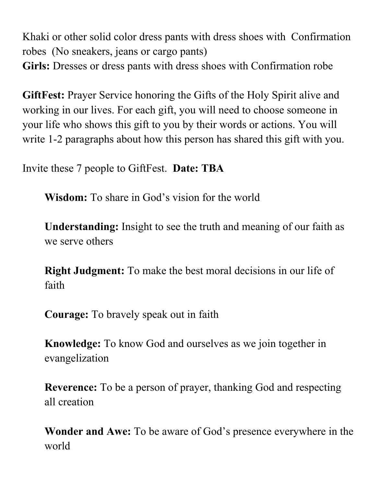Khaki or other solid color dress pants with dress shoes with Confirmation robes (No sneakers, jeans or cargo pants) Girls: Dresses or dress pants with dress shoes with Confirmation robe

**GiftFest:** Prayer Service honoring the Gifts of the Holy Spirit alive and working in our lives. For each gift, you will need to choose someone in your life who shows this gift to you by their words or actions. You will write 1-2 paragraphs about how this person has shared this gift with you.

Invite these 7 people to GiftFest. **Date: TBA**

**Wisdom:** To share in God's vision for the world

**Understanding:** Insight to see the truth and meaning of our faith as we serve others

**Right Judgment:** To make the best moral decisions in our life of faith

**Courage:** To bravely speak out in faith

**Knowledge:** To know God and ourselves as we join together in evangelization

**Reverence:** To be a person of prayer, thanking God and respecting all creation

**Wonder and Awe:** To be aware of God's presence everywhere in the world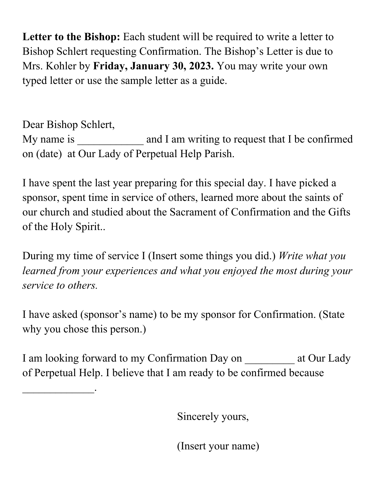Letter to the Bishop: Each student will be required to write a letter to Bishop Schlert requesting Confirmation. The Bishop's Letter is due to Mrs. Kohler by **Friday, January 30, 2023.** You may write your own typed letter or use the sample letter as a guide.

Dear Bishop Schlert, My name is **and I am writing to request that I be confirmed** on (date) at Our Lady of Perpetual Help Parish.

I have spent the last year preparing for this special day. I have picked a sponsor, spent time in service of others, learned more about the saints of our church and studied about the Sacrament of Confirmation and the Gifts of the Holy Spirit..

During my time of service I (Insert some things you did.) *Write what you learned from your experiences and what you enjoyed the most during your service to others.*

I have asked (sponsor's name) to be my sponsor for Confirmation. (State why you chose this person.)

I am looking forward to my Confirmation Day on at Our Lady of Perpetual Help. I believe that I am ready to be confirmed because

 $\frac{1}{2}$ 

Sincerely yours,

(Insert your name)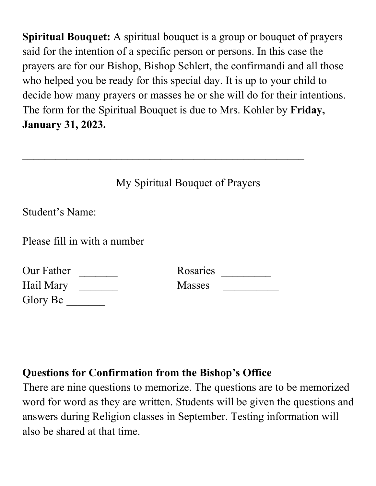**Spiritual Bouquet:** A spiritual bouquet is a group or bouquet of prayers said for the intention of a specific person or persons. In this case the prayers are for our Bishop, Bishop Schlert, the confirmandi and all those who helped you be ready for this special day. It is up to your child to decide how many prayers or masses he or she will do for their intentions. The form for the Spiritual Bouquet is due to Mrs. Kohler by **Friday, January 31, 2023.**

|                              | My Spiritual Bouquet of Prayers |  |  |
|------------------------------|---------------------------------|--|--|
| Student's Name:              |                                 |  |  |
| Please fill in with a number |                                 |  |  |
| Our Father                   | Rosaries                        |  |  |
| Hail Mary                    | <b>Masses</b>                   |  |  |
| Glory Be                     |                                 |  |  |

#### **Questions for Confirmation from the Bishop's Office**

There are nine questions to memorize. The questions are to be memorized word for word as they are written. Students will be given the questions and answers during Religion classes in September. Testing information will also be shared at that time.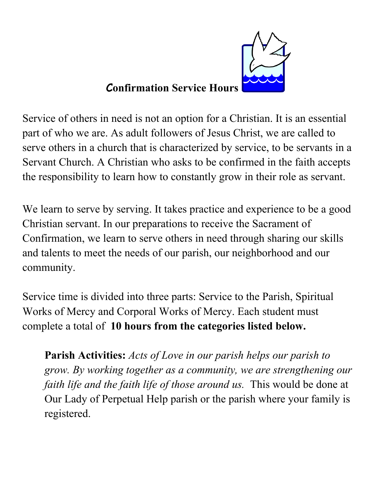

#### C**onfirmation Service Hours**

Service of others in need is not an option for a Christian. It is an essential part of who we are. As adult followers of Jesus Christ, we are called to serve others in a church that is characterized by service, to be servants in a Servant Church. A Christian who asks to be confirmed in the faith accepts the responsibility to learn how to constantly grow in their role as servant.

We learn to serve by serving. It takes practice and experience to be a good Christian servant. In our preparations to receive the Sacrament of Confirmation, we learn to serve others in need through sharing our skills and talents to meet the needs of our parish, our neighborhood and our community.

Service time is divided into three parts: Service to the Parish, Spiritual Works of Mercy and Corporal Works of Mercy. Each student must complete a total of **10 hours from the categories listed below.** 

**Parish Activities:** *Acts of Love in our parish helps our parish to grow. By working together as a community, we are strengthening our faith life and the faith life of those around us.* This would be done at Our Lady of Perpetual Help parish or the parish where your family is registered.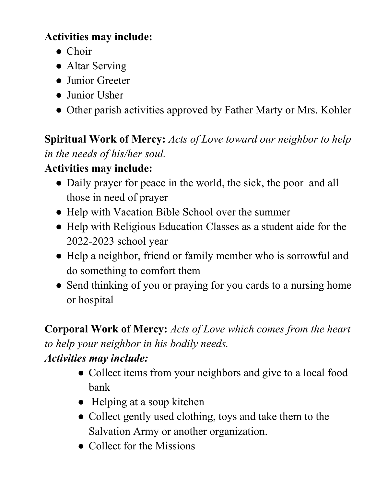### **Activities may include:**

- Choir
- Altar Serving
- Junior Greeter
- Junior Usher
- Other parish activities approved by Father Marty or Mrs. Kohler

**Spiritual Work of Mercy:** *Acts of Love toward our neighbor to help in the needs of his/her soul.* 

#### **Activities may include:**

- Daily prayer for peace in the world, the sick, the poor and all those in need of prayer
- Help with Vacation Bible School over the summer
- Help with Religious Education Classes as a student aide for the 2022-2023 school year
- Help a neighbor, friend or family member who is sorrowful and do something to comfort them
- Send thinking of you or praying for you cards to a nursing home or hospital

**Corporal Work of Mercy:** *Acts of Love which comes from the heart to help your neighbor in his bodily needs.* 

### *Activities may include:*

- Collect items from your neighbors and give to a local food bank
- Helping at a soup kitchen
- Collect gently used clothing, toys and take them to the Salvation Army or another organization.
- Collect for the Missions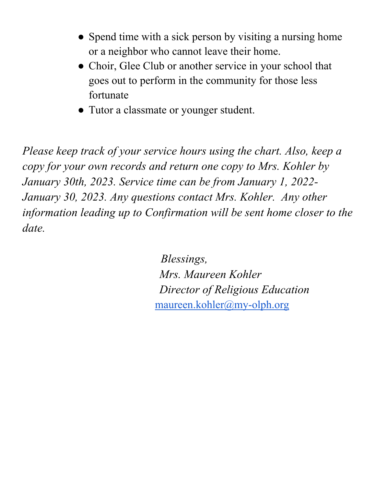- Spend time with a sick person by visiting a nursing home or a neighbor who cannot leave their home.
- Choir, Glee Club or another service in your school that goes out to perform in the community for those less fortunate
- Tutor a classmate or younger student.

*Please keep track of your service hours using the chart. Also, keep a copy for your own records and return one copy to Mrs. Kohler by January 30th, 2023. Service time can be from January 1, 2022- January 30, 2023. Any questions contact Mrs. Kohler. Any other information leading up to Confirmation will be sent home closer to the date.*

> *Blessings, Mrs. Maureen Kohler Director of Religious Education* maureen.kohler@my-olph.org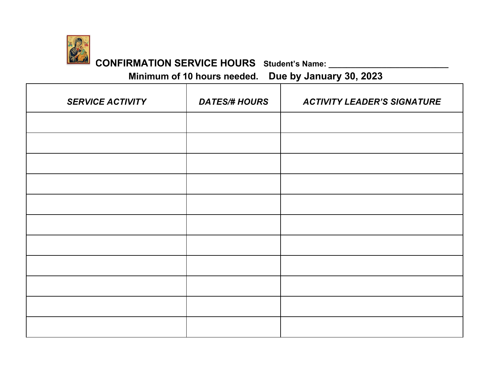

# **CONFIRMATION SERVICE HOURS Student's Name: \_\_\_\_\_\_\_\_\_\_\_\_\_\_\_\_\_\_\_\_\_\_\_\_\_\_\_**

**Minimum of 10 hours needed. Due by January 30, 2023** 

| <b>SERVICE ACTIVITY</b> | <b>DATES/# HOURS</b> | <b>ACTIVITY LEADER'S SIGNATURE</b> |  |
|-------------------------|----------------------|------------------------------------|--|
|                         |                      |                                    |  |
|                         |                      |                                    |  |
|                         |                      |                                    |  |
|                         |                      |                                    |  |
|                         |                      |                                    |  |
|                         |                      |                                    |  |
|                         |                      |                                    |  |
|                         |                      |                                    |  |
|                         |                      |                                    |  |
|                         |                      |                                    |  |
|                         |                      |                                    |  |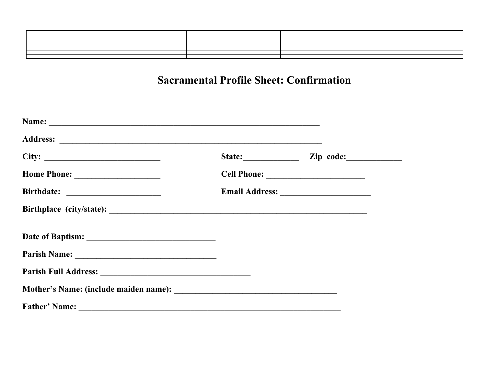| the contract of the contract of the contract of the contract of the contract of the contract of the contract of        |                                                                                                                        |
|------------------------------------------------------------------------------------------------------------------------|------------------------------------------------------------------------------------------------------------------------|
|                                                                                                                        |                                                                                                                        |
|                                                                                                                        |                                                                                                                        |
|                                                                                                                        |                                                                                                                        |
|                                                                                                                        |                                                                                                                        |
|                                                                                                                        |                                                                                                                        |
|                                                                                                                        |                                                                                                                        |
| <u> La componente de la componente de la componente de la componente de la componente de la componente de la compo</u> | <u> La componente de la componente de la componente de la componente de la componente de la componente de la compo</u> |

#### **Sacramental Profile Sheet: Confirmation**

|  | State: Zip code: |  |
|--|------------------|--|
|  |                  |  |
|  |                  |  |
|  |                  |  |
|  |                  |  |
|  |                  |  |
|  |                  |  |
|  |                  |  |
|  |                  |  |
|  |                  |  |